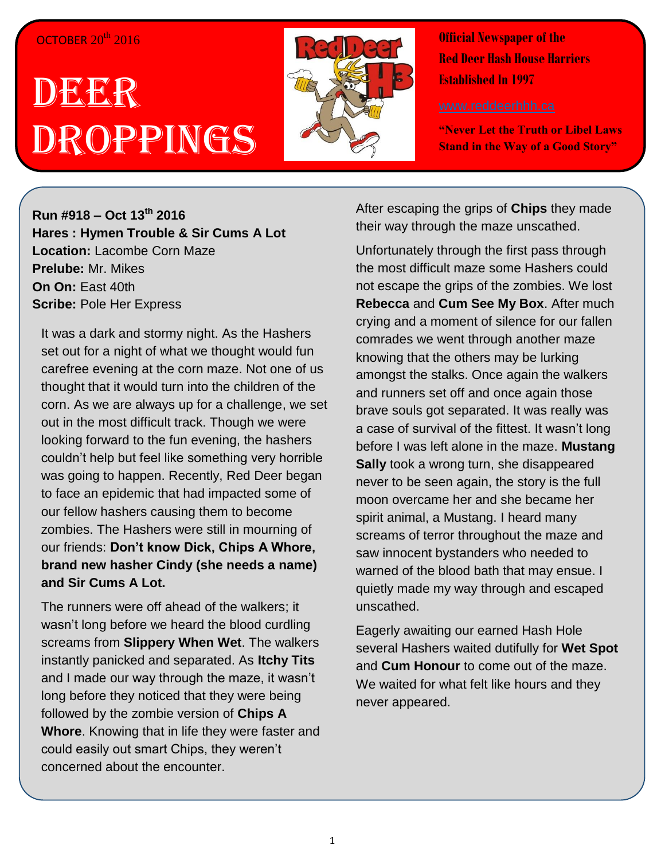## OCTOBER 20<sup>th</sup> 2016

## DEER Droppings



**Official Newspaper of the Red Deer Hash House Harriers Established In 1997** 

**"Never Let the Truth or Libel Laws Stand in the Way of a Good Story"**

**Run #918 – Oct 13 th 2016 Hares : Hymen Trouble & Sir Cums A Lot Location:** Lacombe Corn Maze **Prelube:** Mr. Mikes **On On:** East 40th **Scribe:** Pole Her Express

It was a dark and stormy night. As the Hashers set out for a night of what we thought would fun carefree evening at the corn maze. Not one of us thought that it would turn into the children of the corn. As we are always up for a challenge, we set out in the most difficult track. Though we were looking forward to the fun evening, the hashers couldn't help but feel like something very horrible was going to happen. Recently, Red Deer began to face an epidemic that had impacted some of our fellow hashers causing them to become zombies. The Hashers were still in mourning of our friends: **Don't know Dick, Chips A Whore, brand new hasher Cindy (she needs a name) and Sir Cums A Lot.**

The runners were off ahead of the walkers; it wasn't long before we heard the blood curdling screams from **Slippery When Wet**. The walkers instantly panicked and separated. As **Itchy Tits** and I made our way through the maze, it wasn't long before they noticed that they were being followed by the zombie version of **Chips A Whore**. Knowing that in life they were faster and could easily out smart Chips, they weren't concerned about the encounter.

After escaping the grips of **Chips** they made their way through the maze unscathed.

Unfortunately through the first pass through the most difficult maze some Hashers could not escape the grips of the zombies. We lost **Rebecca** and **Cum See My Box**. After much crying and a moment of silence for our fallen comrades we went through another maze knowing that the others may be lurking amongst the stalks. Once again the walkers and runners set off and once again those brave souls got separated. It was really was a case of survival of the fittest. It wasn't long before I was left alone in the maze. **Mustang Sally** took a wrong turn, she disappeared never to be seen again, the story is the full moon overcame her and she became her spirit animal, a Mustang. I heard many screams of terror throughout the maze and saw innocent bystanders who needed to warned of the blood bath that may ensue. I quietly made my way through and escaped unscathed.

Eagerly awaiting our earned Hash Hole several Hashers waited dutifully for **Wet Spot** and **Cum Honour** to come out of the maze. We waited for what felt like hours and they never appeared.